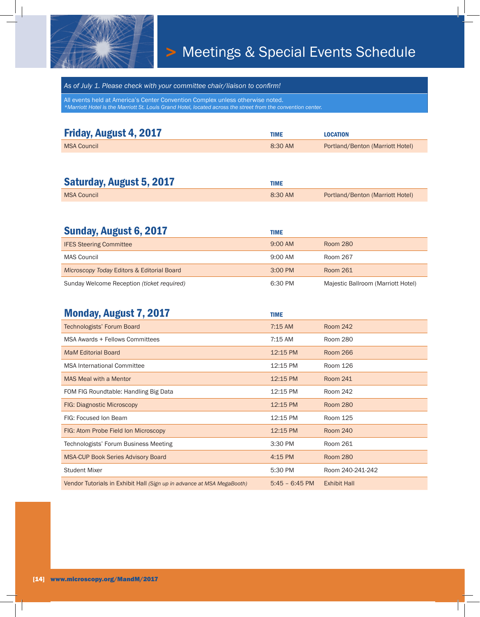

## > Meetings & Special Events Schedule

*As of July 1. Please check with your committee chair/liaison to confirm!*

All events held at America's Center Convention Complex unless otherwise noted. *\*Marriott Hotel is the Marriott St. Louis Grand Hotel, located across the street from the convention center.*

| Friday, August 4, 2017 | TIME    | <b>LOCATION</b>                  |
|------------------------|---------|----------------------------------|
| <b>MSA Council</b>     | 8:30 AM | Portland/Benton (Marriott Hotel) |

| <b>Saturday, August 5, 2017</b> | TIME    |                                  |
|---------------------------------|---------|----------------------------------|
| <b>MSA Council</b>              | 8:30 AM | Portland/Benton (Marriott Hotel) |

| Sunday, August 6, 2017                     | TIME              |                                    |
|--------------------------------------------|-------------------|------------------------------------|
| <b>IFES Steering Committee</b>             | $9:00$ AM         | <b>Room 280</b>                    |
| MAS Council                                | $9:00$ AM         | Room 267                           |
| Microscopy Today Editors & Editorial Board | $3:00 \text{ PM}$ | Room 261                           |
| Sunday Welcome Reception (ticket required) | 6:30 PM           | Majestic Ballroom (Marriott Hotel) |

| <b>Monday, August 7, 2017</b>                                          | <b>TIME</b>      |                     |
|------------------------------------------------------------------------|------------------|---------------------|
| Technologists' Forum Board                                             | $7:15$ AM        | <b>Room 242</b>     |
| MSA Awards + Fellows Committees                                        | 7:15 AM          | Room 280            |
| <b>MaM Editorial Board</b>                                             | 12:15 PM         | <b>Room 266</b>     |
| <b>MSA International Committee</b>                                     | 12:15 PM         | Room 126            |
| <b>MAS Meal with a Mentor</b>                                          | 12:15 PM         | <b>Room 241</b>     |
| FOM FIG Roundtable: Handling Big Data                                  | 12:15 PM         | Room 242            |
| FIG: Diagnostic Microscopy                                             | 12:15 PM         | <b>Room 280</b>     |
| FIG: Focused Ion Beam                                                  | 12:15 PM         | Room 125            |
| FIG: Atom Probe Field Ion Microscopy                                   | 12:15 PM         | <b>Room 240</b>     |
| Technologists' Forum Business Meeting                                  | 3:30 PM          | Room 261            |
| <b>MSA-CUP Book Series Advisory Board</b>                              | 4:15 PM          | <b>Room 280</b>     |
| <b>Student Mixer</b>                                                   | 5:30 PM          | Room 240-241-242    |
| Vendor Tutorials in Exhibit Hall (Sign up in advance at MSA MegaBooth) | $5:45 - 6:45$ PM | <b>Exhibit Hall</b> |